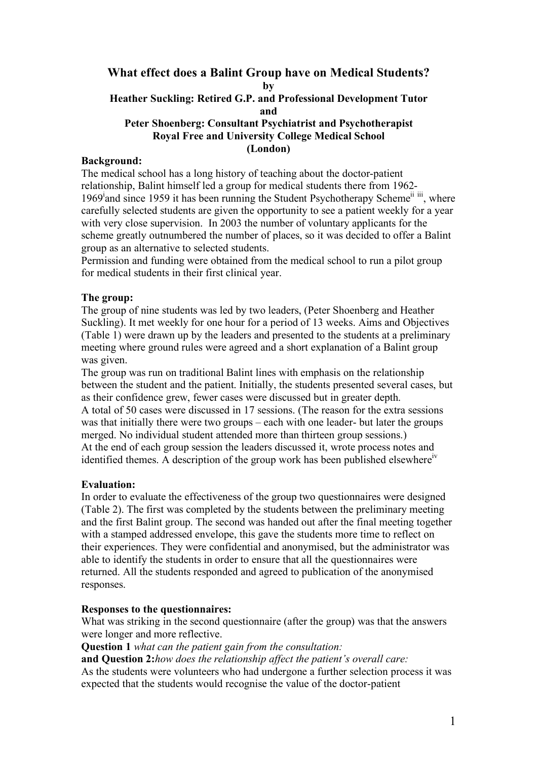# **What effect does a Balint Group have on Medical Students?**

**by**

### **Heather Suckling: Retired G.P. and Professional Development Tutor and**

### **Peter Shoenberg: Consultant Psychiatrist and Psychotherapist Royal Free and University College Medical School (London)**

### **Background:**

The medical school has a long history of teaching about the doctor-patient relationship, Balint himself led a group for medical students there from 1962- 1969<sup>i</sup>and since 1959 it has been running the Student Psychotherapy Scheme<sup>ii iii</sup>, where carefully selected students are given the opportunity to see a patient weekly for a year with very close supervision. In 2003 the number of voluntary applicants for the scheme greatly outnumbered the number of places, so it was decided to offer a Balint group as an alternative to selected students.

Permission and funding were obtained from the medical school to run a pilot group for medical students in their first clinical year.

# **The group:**

The group of nine students was led by two leaders, (Peter Shoenberg and Heather Suckling). It met weekly for one hour for a period of 13 weeks. Aims and Objectives (Table 1) were drawn up by the leaders and presented to the students at a preliminary meeting where ground rules were agreed and a short explanation of a Balint group was given.

The group was run on traditional Balint lines with emphasis on the relationship between the student and the patient. Initially, the students presented several cases, but as their confidence grew, fewer cases were discussed but in greater depth. A total of 50 cases were discussed in 17 sessions. (The reason for the extra sessions was that initially there were two groups – each with one leader- but later the groups

merged. No individual student attended more than thirteen group sessions.) At the end of each group session the leaders discussed it, wrote process notes and identified themes. A description of the group work has been published elsewhere<sup>iv</sup>

### **Evaluation:**

In order to evaluate the effectiveness of the group two questionnaires were designed (Table 2). The first was completed by the students between the preliminary meeting and the first Balint group. The second was handed out after the final meeting together with a stamped addressed envelope, this gave the students more time to reflect on their experiences. They were confidential and anonymised, but the administrator was able to identify the students in order to ensure that all the questionnaires were returned. All the students responded and agreed to publication of the anonymised responses.

# **Responses to the questionnaires:**

What was striking in the second questionnaire (after the group) was that the answers were longer and more reflective.

**Question 1** *what can the patient gain from the consultation:*

**and Question 2:***how does the relationship affect the patient's overall care:*

As the students were volunteers who had undergone a further selection process it was expected that the students would recognise the value of the doctor-patient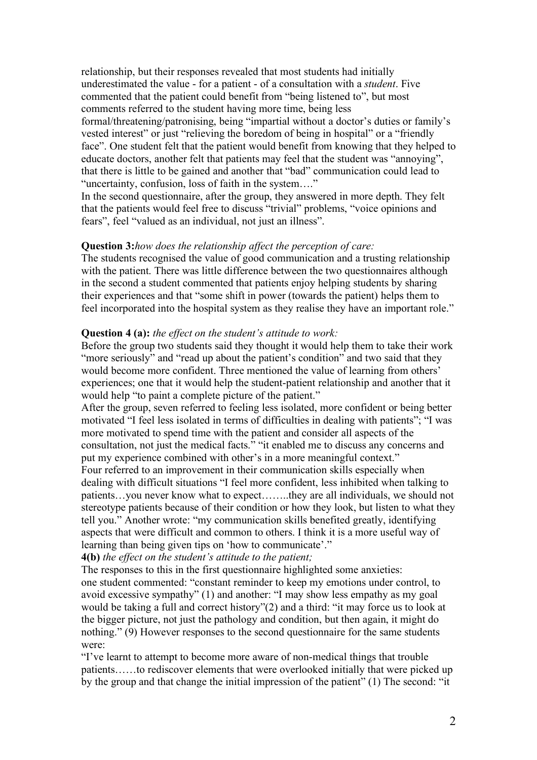relationship, but their responses revealed that most students had initially underestimated the value - for a patient - of a consultation with a *student*. Five commented that the patient could benefit from "being listened to", but most comments referred to the student having more time, being less formal/threatening/patronising, being "impartial without a doctor's duties or family's vested interest" or just "relieving the boredom of being in hospital" or a "friendly face". One student felt that the patient would benefit from knowing that they helped to educate doctors, another felt that patients may feel that the student was "annoying", that there is little to be gained and another that "bad" communication could lead to "uncertainty, confusion, loss of faith in the system…."

In the second questionnaire, after the group, they answered in more depth. They felt that the patients would feel free to discuss "trivial" problems, "voice opinions and fears", feel "valued as an individual, not just an illness".

### **Question 3:***how does the relationship affect the perception of care:*

The students recognised the value of good communication and a trusting relationship with the patient. There was little difference between the two questionnaires although in the second a student commented that patients enjoy helping students by sharing their experiences and that "some shift in power (towards the patient) helps them to feel incorporated into the hospital system as they realise they have an important role."

### **Question 4 (a):** *the effect on the student's attitude to work:*

Before the group two students said they thought it would help them to take their work "more seriously" and "read up about the patient's condition" and two said that they would become more confident. Three mentioned the value of learning from others' experiences; one that it would help the student-patient relationship and another that it would help "to paint a complete picture of the patient."

After the group, seven referred to feeling less isolated, more confident or being better motivated "I feel less isolated in terms of difficulties in dealing with patients"; "I was more motivated to spend time with the patient and consider all aspects of the consultation, not just the medical facts." "it enabled me to discuss any concerns and put my experience combined with other's in a more meaningful context." Four referred to an improvement in their communication skills especially when dealing with difficult situations "I feel more confident, less inhibited when talking to patients…you never know what to expect……..they are all individuals, we should not stereotype patients because of their condition or how they look, but listen to what they tell you." Another wrote: "my communication skills benefited greatly, identifying

aspects that were difficult and common to others. I think it is a more useful way of learning than being given tips on 'how to communicate'."

**4(b)** *the effect on the student's attitude to the patient;*

The responses to this in the first questionnaire highlighted some anxieties: one student commented: "constant reminder to keep my emotions under control, to avoid excessive sympathy" (1) and another: "I may show less empathy as my goal would be taking a full and correct history"(2) and a third: "it may force us to look at the bigger picture, not just the pathology and condition, but then again, it might do nothing." (9) However responses to the second questionnaire for the same students were:

"I've learnt to attempt to become more aware of non-medical things that trouble patients……to rediscover elements that were overlooked initially that were picked up by the group and that change the initial impression of the patient" (1) The second: "it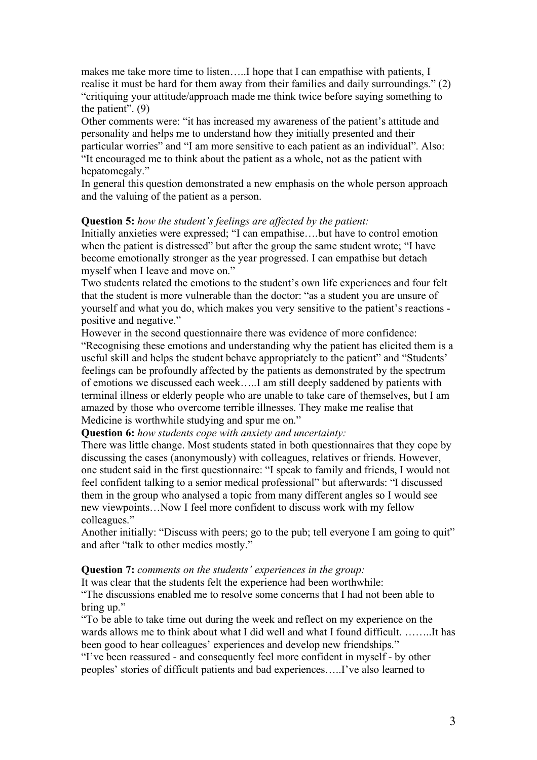makes me take more time to listen…..I hope that I can empathise with patients, I realise it must be hard for them away from their families and daily surroundings." (2) "critiquing your attitude/approach made me think twice before saying something to the patient". (9)

Other comments were: "it has increased my awareness of the patient's attitude and personality and helps me to understand how they initially presented and their particular worries" and "I am more sensitive to each patient as an individual". Also: "It encouraged me to think about the patient as a whole, not as the patient with hepatomegaly."

In general this question demonstrated a new emphasis on the whole person approach and the valuing of the patient as a person.

### **Question 5:** *how the student's feelings are affected by the patient:*

Initially anxieties were expressed; "I can empathise….but have to control emotion when the patient is distressed" but after the group the same student wrote; "I have become emotionally stronger as the year progressed. I can empathise but detach myself when I leave and move on."

Two students related the emotions to the student's own life experiences and four felt that the student is more vulnerable than the doctor: "as a student you are unsure of yourself and what you do, which makes you very sensitive to the patient's reactions positive and negative."

However in the second questionnaire there was evidence of more confidence: "Recognising these emotions and understanding why the patient has elicited them is a useful skill and helps the student behave appropriately to the patient" and "Students' feelings can be profoundly affected by the patients as demonstrated by the spectrum of emotions we discussed each week…..I am still deeply saddened by patients with terminal illness or elderly people who are unable to take care of themselves, but I am amazed by those who overcome terrible illnesses. They make me realise that Medicine is worthwhile studying and spur me on."

**Question 6:** *how students cope with anxiety and uncertainty:*

There was little change. Most students stated in both questionnaires that they cope by discussing the cases (anonymously) with colleagues, relatives or friends. However, one student said in the first questionnaire: "I speak to family and friends, I would not feel confident talking to a senior medical professional" but afterwards: "I discussed them in the group who analysed a topic from many different angles so I would see new viewpoints…Now I feel more confident to discuss work with my fellow colleagues."

Another initially: "Discuss with peers; go to the pub; tell everyone I am going to quit" and after "talk to other medics mostly."

#### **Question 7:** *comments on the students' experiences in the group:*

It was clear that the students felt the experience had been worthwhile:

"The discussions enabled me to resolve some concerns that I had not been able to bring up."

"To be able to take time out during the week and reflect on my experience on the wards allows me to think about what I did well and what I found difficult. ……..It has been good to hear colleagues' experiences and develop new friendships."

"I've been reassured - and consequently feel more confident in myself - by other peoples' stories of difficult patients and bad experiences…..I've also learned to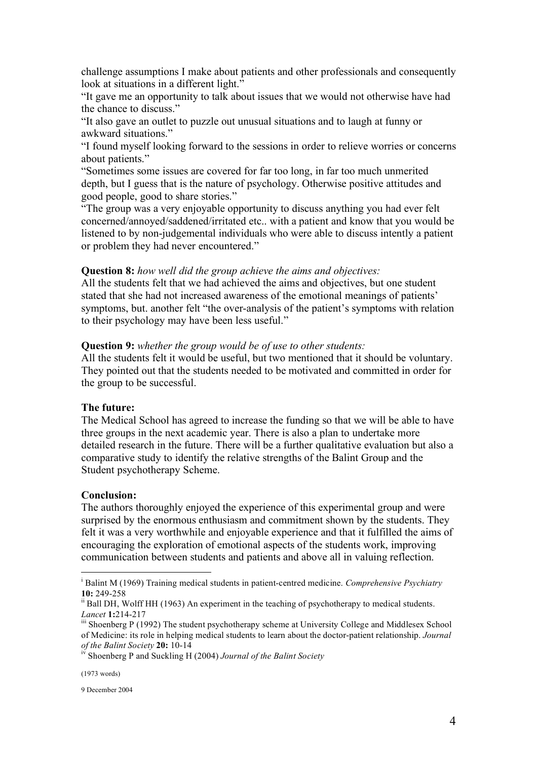challenge assumptions I make about patients and other professionals and consequently look at situations in a different light."

"It gave me an opportunity to talk about issues that we would not otherwise have had the chance to discuss."

"It also gave an outlet to puzzle out unusual situations and to laugh at funny or awkward situations."

"I found myself looking forward to the sessions in order to relieve worries or concerns about patients."

"Sometimes some issues are covered for far too long, in far too much unmerited depth, but I guess that is the nature of psychology. Otherwise positive attitudes and good people, good to share stories."

"The group was a very enjoyable opportunity to discuss anything you had ever felt concerned/annoyed/saddened/irritated etc.. with a patient and know that you would be listened to by non-judgemental individuals who were able to discuss intently a patient or problem they had never encountered."

#### **Question 8:** *how well did the group achieve the aims and objectives:*

All the students felt that we had achieved the aims and objectives, but one student stated that she had not increased awareness of the emotional meanings of patients' symptoms, but. another felt "the over-analysis of the patient's symptoms with relation to their psychology may have been less useful."

#### **Question 9:** *whether the group would be of use to other students:*

All the students felt it would be useful, but two mentioned that it should be voluntary. They pointed out that the students needed to be motivated and committed in order for the group to be successful.

#### **The future:**

The Medical School has agreed to increase the funding so that we will be able to have three groups in the next academic year. There is also a plan to undertake more detailed research in the future. There will be a further qualitative evaluation but also a comparative study to identify the relative strengths of the Balint Group and the Student psychotherapy Scheme.

#### **Conclusion:**

The authors thoroughly enjoyed the experience of this experimental group and were surprised by the enormous enthusiasm and commitment shown by the students. They felt it was a very worthwhile and enjoyable experience and that it fulfilled the aims of encouraging the exploration of emotional aspects of the students work, improving communication between students and patients and above all in valuing reflection.

i <sup>i</sup> Balint M (1969) Training medical students in patient-centred medicine. *Comprehensive Psychiatry* **10:** 249-258

<sup>&</sup>lt;sup>ii</sup> Ball DH, Wolff HH (1963) An experiment in the teaching of psychotherapy to medical students. Lancet 1:214-217<br><sup>iii</sup> Shoenberg P (1992) The student psychotherapy scheme at University College and Middlesex School

of Medicine: its role in helping medical students to learn about the doctor-patient relationship. *Journal*

*of the Balint Society* **20:** 10-14 iv Shoenberg <sup>P</sup> and Suckling <sup>H</sup> (2004) *Journal of the Balint Society*

<sup>(1973</sup> words)

<sup>9</sup> December 2004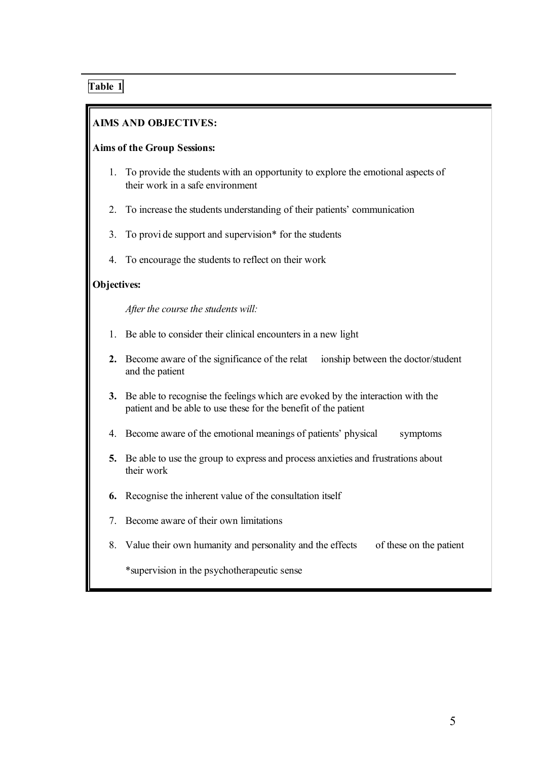# **Table 1**

 $\overline{a}$ 

# **AIMS AND OBJECTIVES:**

### **Aims of the Group Sessions:**

- 1. To provide the students with an opportunity to explore the emotional aspects of their work in a safe environment
- 2. To increase the students understanding of their patients' communication
- 3. To provi de support and supervision\* for the students
- 4. To encourage the students to reflect on their work

### **Objectives:**

*After the course the students will:* 

- 1. Be able to consider their clinical encountersin a new light
- **2.** Become aware of the significance of the relat ionship between the doctor/student and the patient
- **3.** Be able to recognise the feelings which are evoked by the interaction with the patient and be able to use these for the benefit of the patient
- 4. Become aware of the emotional meanings of patients' physical symptoms
- **5.** Be able to use the group to express and process anxieties and frustrations about their work
- **6.** Recognise the inherent value of the consultation itself
- 7. Become aware of their own limitations
- 8. Value their own humanity and personality and the effects of these on the patient

\*supervision in the psychotherapeutic sense